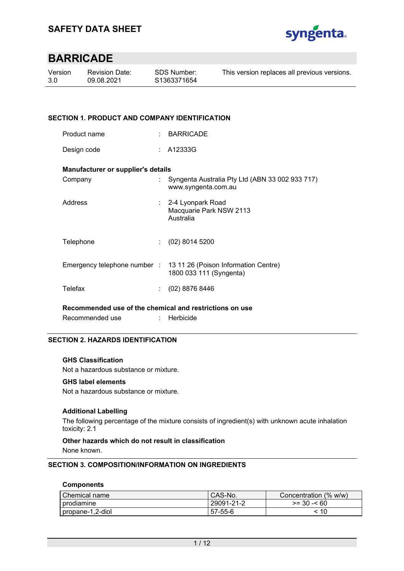

| Version | <b>Revision Date:</b> | SDS Number: | This version replaces all previous versions. |
|---------|-----------------------|-------------|----------------------------------------------|
| 3.0     | 09.08.2021            | S1363371654 |                                              |
|         |                       |             |                                              |

## **SECTION 1. PRODUCT AND COMPANY IDENTIFICATION**

| Product name |  | <b>BARRICADE</b> |
|--------------|--|------------------|
|--------------|--|------------------|

Design code : A12333G

#### **Manufacturer or supplier's details**

| Company   | Syngenta Australia Pty Ltd (ABN 33 002 933 717)<br>www.syngenta.com.au                       |
|-----------|----------------------------------------------------------------------------------------------|
| Address   | : 2-4 Lyonpark Road<br>Macquarie Park NSW 2113<br>Australia                                  |
| Telephone | $(02)$ 8014 5200                                                                             |
|           | Emergency telephone number : 13 11 26 (Poison Information Centre)<br>1800 033 111 (Syngenta) |
| Telefax   | $(02)$ 8876 8446                                                                             |

**Recommended use of the chemical and restrictions on use** 

Recommended use : Herbicide

## **SECTION 2. HAZARDS IDENTIFICATION**

## **GHS Classification**

Not a hazardous substance or mixture.

## **GHS label elements**

Not a hazardous substance or mixture.

## **Additional Labelling**

The following percentage of the mixture consists of ingredient(s) with unknown acute inhalation toxicity: 2.1

## **Other hazards which do not result in classification**

None known.

## **SECTION 3. COMPOSITION/INFORMATION ON INGREDIENTS**

#### **Components**

| Chemical name    | CAS-No.    | Concentration (% w/w) |
|------------------|------------|-----------------------|
| I prodiamine     | 29091-21-2 | $>= 30 - 60$          |
| propane-1,2-diol | 57-55-6    | < 10                  |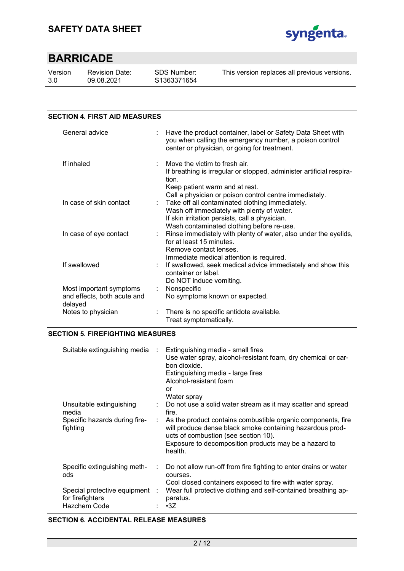

| Version | Re |
|---------|----|
| 3.0     | 09 |

evision Date: 09.08.2021

| <b>SECTION 4. FIRST AID MEASURES</b>                              |                                                                                                                                                                                                            |
|-------------------------------------------------------------------|------------------------------------------------------------------------------------------------------------------------------------------------------------------------------------------------------------|
| General advice                                                    | Have the product container, label or Safety Data Sheet with<br>you when calling the emergency number, a poison control<br>center or physician, or going for treatment.                                     |
| If inhaled                                                        | Move the victim to fresh air.<br>If breathing is irregular or stopped, administer artificial respira-<br>tion.<br>Keep patient warm and at rest.<br>Call a physician or poison control centre immediately. |
| In case of skin contact                                           | Take off all contaminated clothing immediately.<br>Wash off immediately with plenty of water.<br>If skin irritation persists, call a physician.<br>Wash contaminated clothing before re-use.               |
| In case of eye contact                                            | : Rinse immediately with plenty of water, also under the eyelids,<br>for at least 15 minutes.<br>Remove contact lenses.<br>Immediate medical attention is required.                                        |
| If swallowed                                                      | If swallowed, seek medical advice immediately and show this<br>container or label.<br>Do NOT induce vomiting.                                                                                              |
| Most important symptoms<br>and effects, both acute and<br>delayed | Nonspecific<br>t.<br>No symptoms known or expected.                                                                                                                                                        |
| Notes to physician                                                | There is no specific antidote available.<br>Treat symptomatically.                                                                                                                                         |

## **SECTION 5. FIREFIGHTING MEASURES**

| Suitable extinguishing media                       |                           | Extinguishing media - small fires<br>Use water spray, alcohol-resistant foam, dry chemical or car-<br>bon dioxide.<br>Extinguishing media - large fires<br>Alcohol-resistant foam<br>or<br>Water spray                                |
|----------------------------------------------------|---------------------------|---------------------------------------------------------------------------------------------------------------------------------------------------------------------------------------------------------------------------------------|
| Unsuitable extinguishing<br>media                  | $\mathbb{Z}^{\mathbb{Z}}$ | Do not use a solid water stream as it may scatter and spread<br>fire.                                                                                                                                                                 |
| Specific hazards during fire-<br>fighting          | ÷                         | As the product contains combustible organic components, fire<br>will produce dense black smoke containing hazardous prod-<br>ucts of combustion (see section 10).<br>Exposure to decomposition products may be a hazard to<br>health. |
| Specific extinguishing meth-<br>ods                | ÷.                        | Do not allow run-off from fire fighting to enter drains or water<br>courses.<br>Cool closed containers exposed to fire with water spray.                                                                                              |
| Special protective equipment :<br>for firefighters |                           | Wear full protective clothing and self-contained breathing ap-<br>paratus.                                                                                                                                                            |
| Hazchem Code                                       |                           | $\cdot$ 3Z                                                                                                                                                                                                                            |

## **SECTION 6. ACCIDENTAL RELEASE MEASURES**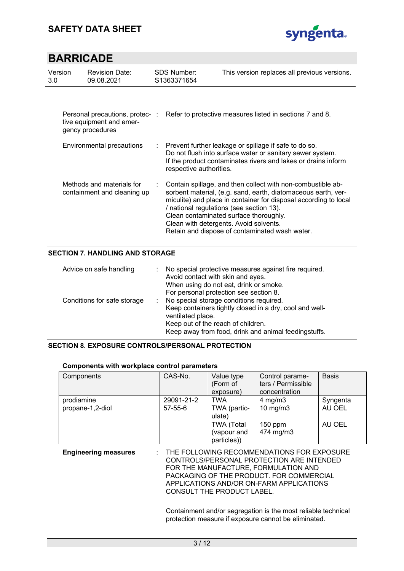

| Version<br>3.0 <sub>2</sub> | <b>Revision Date:</b><br>09.08.2021                                            |    | <b>SDS Number:</b><br>S1363371654 | This version replaces all previous versions.                                                                                                                                                                                                                                                                                                                                       |
|-----------------------------|--------------------------------------------------------------------------------|----|-----------------------------------|------------------------------------------------------------------------------------------------------------------------------------------------------------------------------------------------------------------------------------------------------------------------------------------------------------------------------------------------------------------------------------|
|                             | Personal precautions, protec-:<br>tive equipment and emer-<br>gency procedures |    |                                   | Refer to protective measures listed in sections 7 and 8.                                                                                                                                                                                                                                                                                                                           |
|                             | Environmental precautions                                                      | ÷. | respective authorities.           | Prevent further leakage or spillage if safe to do so.<br>Do not flush into surface water or sanitary sewer system.<br>If the product contaminates rivers and lakes or drains inform                                                                                                                                                                                                |
|                             | Methods and materials for<br>containment and cleaning up                       |    |                                   | Contain spillage, and then collect with non-combustible ab-<br>sorbent material, (e.g. sand, earth, diatomaceous earth, ver-<br>miculite) and place in container for disposal according to local<br>/ national regulations (see section 13).<br>Clean contaminated surface thoroughly.<br>Clean with detergents. Avoid solvents.<br>Retain and dispose of contaminated wash water. |

## **SECTION 7. HANDLING AND STORAGE**

| Advice on safe handling     | No special protective measures against fire required.<br>Avoid contact with skin and eyes.<br>When using do not eat, drink or smoke.<br>For personal protection see section 8.                                        |
|-----------------------------|-----------------------------------------------------------------------------------------------------------------------------------------------------------------------------------------------------------------------|
| Conditions for safe storage | No special storage conditions required.<br>Keep containers tightly closed in a dry, cool and well-<br>ventilated place.<br>Keep out of the reach of children.<br>Keep away from food, drink and animal feedingstuffs. |

## **SECTION 8. EXPOSURE CONTROLS/PERSONAL PROTECTION**

## **Components with workplace control parameters**

| Components       | CAS-No.    | Value type<br>(Form of<br>exposure)             | Control parame-<br>ters / Permissible<br>concentration | <b>Basis</b> |
|------------------|------------|-------------------------------------------------|--------------------------------------------------------|--------------|
| prodiamine       | 29091-21-2 | <b>TWA</b>                                      | 4 mg/m $3$                                             | Syngenta     |
| propane-1,2-diol | 57-55-6    | TWA (partic-<br>ulate)                          | $10 \text{ mg/m}$                                      | AU OEL       |
|                  |            | <b>TWA (Total</b><br>(vapour and<br>particles)) | $150$ ppm<br>474 mg/m3                                 | AU OEL       |

**Engineering measures** : THE FOLLOWING RECOMMENDATIONS FOR EXPOSURE CONTROLS/PERSONAL PROTECTION ARE INTENDED FOR THE MANUFACTURE, FORMULATION AND PACKAGING OF THE PRODUCT. FOR COMMERCIAL APPLICATIONS AND/OR ON-FARM APPLICATIONS CONSULT THE PRODUCT LABEL.

> Containment and/or segregation is the most reliable technical protection measure if exposure cannot be eliminated.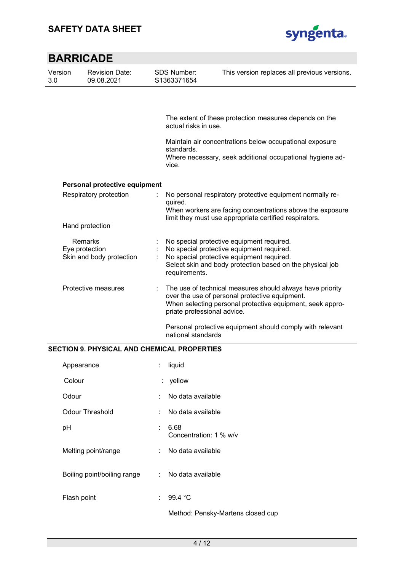

|                | <b>BARRICADE</b>                                      |                                   |                                                                                                                                                                                                  |
|----------------|-------------------------------------------------------|-----------------------------------|--------------------------------------------------------------------------------------------------------------------------------------------------------------------------------------------------|
| Version<br>3.0 | <b>Revision Date:</b><br>09.08.2021                   | <b>SDS Number:</b><br>S1363371654 | This version replaces all previous versions.                                                                                                                                                     |
|                |                                                       |                                   |                                                                                                                                                                                                  |
|                |                                                       | actual risks in use.              | The extent of these protection measures depends on the                                                                                                                                           |
|                |                                                       | standards.                        | Maintain air concentrations below occupational exposure                                                                                                                                          |
|                |                                                       | vice.                             | Where necessary, seek additional occupational hygiene ad-                                                                                                                                        |
|                | Personal protective equipment                         |                                   |                                                                                                                                                                                                  |
|                | Respiratory protection                                | quired.                           | No personal respiratory protective equipment normally re-                                                                                                                                        |
|                |                                                       |                                   | When workers are facing concentrations above the exposure<br>limit they must use appropriate certified respirators.                                                                              |
|                | Hand protection                                       |                                   |                                                                                                                                                                                                  |
|                | Remarks<br>Eye protection<br>Skin and body protection | requirements.                     | No special protective equipment required.<br>No special protective equipment required.<br>No special protective equipment required.<br>Select skin and body protection based on the physical job |
|                | Protective measures                                   | priate professional advice.       | The use of technical measures should always have priority<br>over the use of personal protective equipment.<br>When selecting personal protective equipment, seek appro-                         |
|                |                                                       | national standards                | Personal protective equipment should comply with relevant                                                                                                                                        |

## **SECTION 9. PHYSICAL AND CHEMICAL PROPERTIES**

| Appearance                  |     | liquid                            |
|-----------------------------|-----|-----------------------------------|
| Colour                      |     | : yellow                          |
| Odour                       |     | No data available                 |
| <b>Odour Threshold</b>      | × 1 | No data available                 |
| pH                          | ÷   | 6.68<br>Concentration: 1 % w/v    |
| Melting point/range         | t.  | No data available                 |
| Boiling point/boiling range |     | : No data available               |
| Flash point                 |     | 99.4 °C                           |
|                             |     | Method: Pensky-Martens closed cup |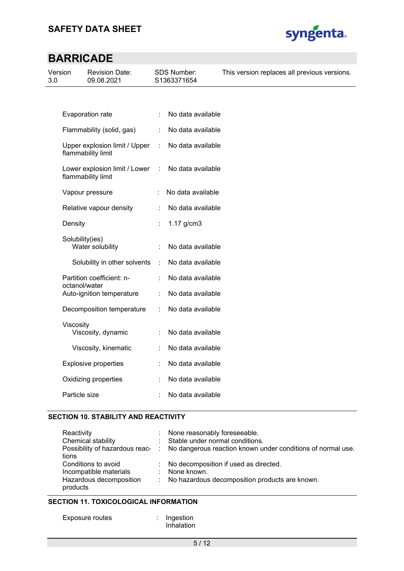

| Version<br>3.0 |                 | <b>Revision Date:</b><br>09.08.2021                 |   | SDS Number:<br>S1363371654 | This version replaces all previous versions. |
|----------------|-----------------|-----------------------------------------------------|---|----------------------------|----------------------------------------------|
|                |                 |                                                     |   |                            |                                              |
|                |                 | Evaporation rate                                    | ÷ | No data available          |                                              |
|                |                 | Flammability (solid, gas)                           | ÷ | No data available          |                                              |
|                |                 | Upper explosion limit / Upper<br>flammability limit | ÷ | No data available          |                                              |
|                |                 | Lower explosion limit / Lower<br>flammability limit | ÷ | No data available          |                                              |
|                |                 | Vapour pressure                                     |   | No data available          |                                              |
|                |                 | Relative vapour density                             |   | No data available          |                                              |
|                | Density         |                                                     |   | $1.17$ g/cm $3$            |                                              |
|                | Solubility(ies) | Water solubility                                    |   | No data available          |                                              |
|                |                 | Solubility in other solvents                        | ÷ | No data available          |                                              |
|                | octanol/water   | Partition coefficient: n-                           |   | No data available          |                                              |
|                |                 | Auto-ignition temperature                           |   | No data available          |                                              |
|                |                 | Decomposition temperature                           |   | No data available          |                                              |
|                | Viscosity       | Viscosity, dynamic                                  |   | No data available          |                                              |
|                |                 | Viscosity, kinematic                                |   | No data available          |                                              |
|                |                 | <b>Explosive properties</b>                         |   | No data available          |                                              |
|                |                 | Oxidizing properties                                |   | No data available          |                                              |
|                | Particle size   |                                                     |   | No data available          |                                              |

## **SECTION 10. STABILITY AND REACTIVITY**

| Reactivity<br>Chemical stability<br>tions                                            | : None reasonably foreseeable.<br>: Stable under normal conditions.<br>Possibility of hazardous reac- : No dangerous reaction known under conditions of normal use. |
|--------------------------------------------------------------------------------------|---------------------------------------------------------------------------------------------------------------------------------------------------------------------|
| Conditions to avoid<br>Incompatible materials<br>Hazardous decomposition<br>products | : No decomposition if used as directed.<br>: None known.<br>: No hazardous decomposition products are known.                                                        |

## **SECTION 11. TOXICOLOGICAL INFORMATION**

| Exposure routes | Ingestion |  |
|-----------------|-----------|--|
|-----------------|-----------|--|

Inhalation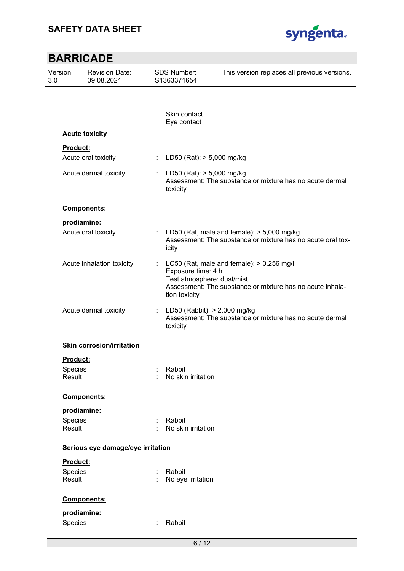

| Version<br>3.0 |                   | <b>Revision Date:</b><br>09.08.2021 |                       | <b>SDS Number:</b><br>S1363371654                                 | This version replaces all previous versions.                                                                  |
|----------------|-------------------|-------------------------------------|-----------------------|-------------------------------------------------------------------|---------------------------------------------------------------------------------------------------------------|
|                |                   |                                     |                       |                                                                   |                                                                                                               |
|                |                   |                                     |                       | Skin contact<br>Eye contact                                       |                                                                                                               |
|                |                   | <b>Acute toxicity</b>               |                       |                                                                   |                                                                                                               |
|                | Product:          |                                     |                       |                                                                   |                                                                                                               |
|                |                   | Acute oral toxicity                 | $\mathbb{Z}^{\times}$ | LD50 (Rat): > 5,000 mg/kg                                         |                                                                                                               |
|                |                   | Acute dermal toxicity               | ÷.                    | LD50 (Rat): > 5,000 mg/kg<br>toxicity                             | Assessment: The substance or mixture has no acute dermal                                                      |
|                |                   | Components:                         |                       |                                                                   |                                                                                                               |
|                | prodiamine:       |                                     |                       |                                                                   |                                                                                                               |
|                |                   | Acute oral toxicity                 |                       | icity                                                             | : LD50 (Rat, male and female): $> 5,000$ mg/kg<br>Assessment: The substance or mixture has no acute oral tox- |
|                |                   | Acute inhalation toxicity           |                       | Exposure time: 4 h<br>Test atmosphere: dust/mist<br>tion toxicity | LC50 (Rat, male and female): $> 0.256$ mg/l<br>Assessment: The substance or mixture has no acute inhala-      |
|                |                   | Acute dermal toxicity               | ÷.                    | LD50 (Rabbit): > 2,000 mg/kg<br>toxicity                          | Assessment: The substance or mixture has no acute dermal                                                      |
|                |                   | <b>Skin corrosion/irritation</b>    |                       |                                                                   |                                                                                                               |
|                | Product:          |                                     |                       |                                                                   |                                                                                                               |
|                | Species<br>Result |                                     |                       | Rabbit<br>No skin irritation                                      |                                                                                                               |
|                |                   | Components:                         |                       |                                                                   |                                                                                                               |
|                | prodiamine:       |                                     |                       |                                                                   |                                                                                                               |
|                | Species           |                                     |                       | Rabbit                                                            |                                                                                                               |
|                | Result            |                                     |                       | No skin irritation                                                |                                                                                                               |
|                |                   | Serious eye damage/eye irritation   |                       |                                                                   |                                                                                                               |
|                | Product:          |                                     |                       |                                                                   |                                                                                                               |
|                | Species           |                                     |                       | Rabbit                                                            |                                                                                                               |
|                | Result            |                                     |                       | No eye irritation                                                 |                                                                                                               |
|                |                   | Components:                         |                       |                                                                   |                                                                                                               |
|                | prodiamine:       |                                     |                       |                                                                   |                                                                                                               |
|                | Species           |                                     |                       | Rabbit                                                            |                                                                                                               |
|                |                   |                                     |                       | 6/12                                                              |                                                                                                               |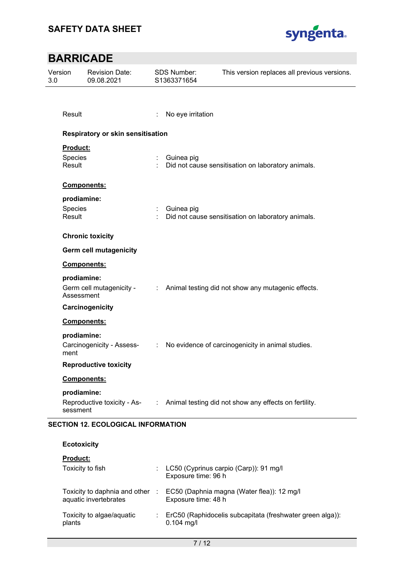

## **BARRICADE**  Version 3.0 Revision Date: 09.08.2021 SDS Number: S1363371654 This version replaces all previous versions. Result : No eye irritation **Respiratory or skin sensitisation Product:**  Species : Guinea pig Result **Example 20** CDD : Did not cause sensitisation on laboratory animals. **Components: prodiamine:**  Species : Guinea pig Result **Example 20** Compared to Did not cause sensitisation on laboratory animals. **Chronic toxicity Germ cell mutagenicity Components: prodiamine:**  Germ cell mutagenicity - Assessment : Animal testing did not show any mutagenic effects. **Carcinogenicity Components: prodiamine:**  Carcinogenicity - Assessment : No evidence of carcinogenicity in animal studies. **Reproductive toxicity Components: prodiamine:**  Reproductive toxicity - Assessment : Animal testing did not show any effects on fertility.

## **SECTION 12. ECOLOGICAL INFORMATION**

**Ecotoxicity** 

| ECOLOXICILY                                            |            |                                                                           |
|--------------------------------------------------------|------------|---------------------------------------------------------------------------|
| <b>Product:</b>                                        |            |                                                                           |
| Toxicity to fish                                       |            | LC50 (Cyprinus carpio (Carp)): 91 mg/l<br>Exposure time: 96 h             |
| Toxicity to daphnia and other<br>aquatic invertebrates | <b>COL</b> | EC50 (Daphnia magna (Water flea)): 12 mg/l<br>Exposure time: 48 h         |
| Toxicity to algae/aquatic<br>plants                    |            | ErC50 (Raphidocelis subcapitata (freshwater green alga)):<br>$0.104$ mg/l |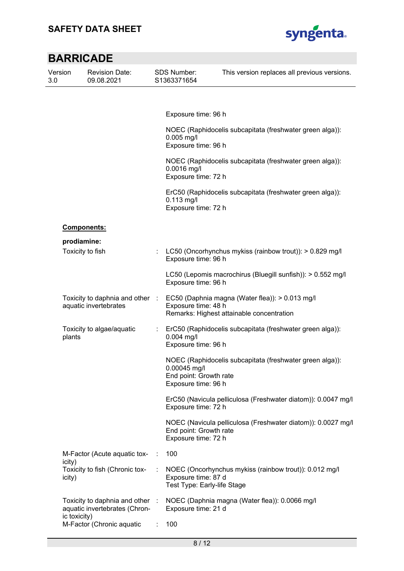

| Version<br>3.0 | <b>Revision Date:</b><br>09.08.2021                                              |    | <b>SDS Number:</b><br>S1363371654                                                              | This version replaces all previous versions.                                                 |  |
|----------------|----------------------------------------------------------------------------------|----|------------------------------------------------------------------------------------------------|----------------------------------------------------------------------------------------------|--|
|                |                                                                                  |    |                                                                                                |                                                                                              |  |
|                |                                                                                  |    | Exposure time: 96 h                                                                            |                                                                                              |  |
|                |                                                                                  |    | $0.005$ mg/l<br>Exposure time: 96 h                                                            | NOEC (Raphidocelis subcapitata (freshwater green alga)):                                     |  |
|                |                                                                                  |    | NOEC (Raphidocelis subcapitata (freshwater green alga)):<br>0.0016 mg/l<br>Exposure time: 72 h |                                                                                              |  |
|                |                                                                                  |    | $0.113$ mg/l<br>Exposure time: 72 h                                                            | ErC50 (Raphidocelis subcapitata (freshwater green alga)):                                    |  |
|                | <b>Components:</b>                                                               |    |                                                                                                |                                                                                              |  |
|                | prodiamine:<br>Toxicity to fish                                                  |    |                                                                                                | LC50 (Oncorhynchus mykiss (rainbow trout)): > 0.829 mg/l                                     |  |
|                |                                                                                  |    | Exposure time: 96 h                                                                            |                                                                                              |  |
|                |                                                                                  |    | Exposure time: 96 h                                                                            | LC50 (Lepomis macrochirus (Bluegill sunfish)): > 0.552 mg/l                                  |  |
|                | Toxicity to daphnia and other :<br>aquatic invertebrates                         |    | Exposure time: 48 h                                                                            | EC50 (Daphnia magna (Water flea)): > 0.013 mg/l<br>Remarks: Highest attainable concentration |  |
|                | Toxicity to algae/aquatic<br>plants                                              | ÷. | $0.004$ mg/l<br>Exposure time: 96 h                                                            | ErC50 (Raphidocelis subcapitata (freshwater green alga)):                                    |  |
|                |                                                                                  |    | 0.00045 mg/l<br>End point: Growth rate<br>Exposure time: 96 h                                  | NOEC (Raphidocelis subcapitata (freshwater green alga)):                                     |  |
|                |                                                                                  |    | Exposure time: 72 h                                                                            | ErC50 (Navicula pelliculosa (Freshwater diatom)): 0.0047 mg/l                                |  |
|                |                                                                                  |    | End point: Growth rate<br>Exposure time: 72 h                                                  | NOEC (Navicula pelliculosa (Freshwater diatom)): 0.0027 mg/l                                 |  |
|                | M-Factor (Acute aquatic tox-<br>icity)                                           |    | 100                                                                                            |                                                                                              |  |
|                | Toxicity to fish (Chronic tox-<br>icity)                                         |    | Exposure time: 87 d<br>Test Type: Early-life Stage                                             | NOEC (Oncorhynchus mykiss (rainbow trout)): 0.012 mg/l                                       |  |
|                | Toxicity to daphnia and other :<br>aquatic invertebrates (Chron-<br>ic toxicity) |    | Exposure time: 21 d                                                                            | NOEC (Daphnia magna (Water flea)): 0.0066 mg/l                                               |  |
|                | M-Factor (Chronic aquatic                                                        |    | 100                                                                                            |                                                                                              |  |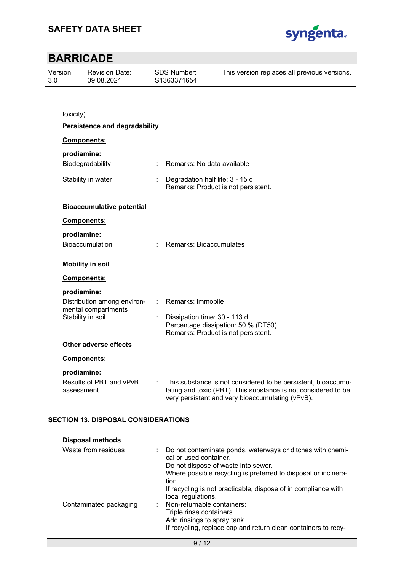

| Version<br>3.0 |                           | <b>Revision Date:</b><br>09.08.2021                                     |    | <b>SDS Number:</b><br>S1363371654                                      | This version replaces all previous versions.                                                                                                                                        |
|----------------|---------------------------|-------------------------------------------------------------------------|----|------------------------------------------------------------------------|-------------------------------------------------------------------------------------------------------------------------------------------------------------------------------------|
|                |                           |                                                                         |    |                                                                        |                                                                                                                                                                                     |
|                | toxicity)                 |                                                                         |    |                                                                        |                                                                                                                                                                                     |
|                |                           | <b>Persistence and degradability</b>                                    |    |                                                                        |                                                                                                                                                                                     |
|                |                           | <b>Components:</b>                                                      |    |                                                                        |                                                                                                                                                                                     |
|                | prodiamine:               |                                                                         |    |                                                                        |                                                                                                                                                                                     |
|                |                           | Biodegradability                                                        |    | Remarks: No data available                                             |                                                                                                                                                                                     |
|                | Stability in water        |                                                                         | t. | Degradation half life: 3 - 15 d<br>Remarks: Product is not persistent. |                                                                                                                                                                                     |
|                |                           | <b>Bioaccumulative potential</b>                                        |    |                                                                        |                                                                                                                                                                                     |
|                |                           | <b>Components:</b>                                                      |    |                                                                        |                                                                                                                                                                                     |
|                | prodiamine:               |                                                                         |    |                                                                        |                                                                                                                                                                                     |
|                |                           | <b>Bioaccumulation</b>                                                  |    | Remarks: Bioaccumulates                                                |                                                                                                                                                                                     |
|                |                           | <b>Mobility in soil</b>                                                 |    |                                                                        |                                                                                                                                                                                     |
|                |                           | <b>Components:</b>                                                      |    |                                                                        |                                                                                                                                                                                     |
|                | prodiamine:               |                                                                         |    |                                                                        |                                                                                                                                                                                     |
|                |                           | Distribution among environ-<br>mental compartments<br>Stability in soil |    | Remarks: immobile                                                      |                                                                                                                                                                                     |
|                |                           |                                                                         |    | Dissipation time: 30 - 113 d<br>Remarks: Product is not persistent.    | Percentage dissipation: 50 % (DT50)                                                                                                                                                 |
|                |                           | Other adverse effects                                                   |    |                                                                        |                                                                                                                                                                                     |
|                |                           | Components:                                                             |    |                                                                        |                                                                                                                                                                                     |
|                | prodiamine:<br>assessment | Results of PBT and vPvB                                                 |    |                                                                        | This substance is not considered to be persistent, bioaccumu-<br>lating and toxic (PBT). This substance is not considered to be<br>very persistent and very bioaccumulating (vPvB). |

## **SECTION 13. DISPOSAL CONSIDERATIONS**

| <b>Disposal methods</b> |                                                                                                                                                                                                          |
|-------------------------|----------------------------------------------------------------------------------------------------------------------------------------------------------------------------------------------------------|
| Waste from residues     | : Do not contaminate ponds, waterways or ditches with chemi-<br>cal or used container.<br>Do not dispose of waste into sewer.<br>Where possible recycling is preferred to disposal or incinera-<br>tion. |
|                         | If recycling is not practicable, dispose of in compliance with<br>local regulations.                                                                                                                     |
| Contaminated packaging  | Non-returnable containers:<br>Triple rinse containers.<br>Add rinsings to spray tank<br>If recycling, replace cap and return clean containers to recy-                                                   |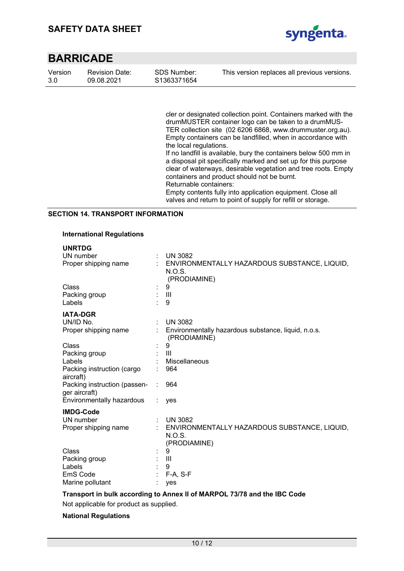

| Version | <b>Revision Date:</b> |
|---------|-----------------------|
| 3.0     | 09.08.2021            |

SDS Number: S1363371654 This version replaces all previous versions.

cler or designated collection point. Containers marked with the drumMUSTER container logo can be taken to a drumMUS-TER collection site (02 6206 6868, www.drummuster.org.au). Empty containers can be landfilled, when in accordance with the local regulations. If no landfill is available, bury the containers below 500 mm in

a disposal pit specifically marked and set up for this purpose clear of waterways, desirable vegetation and tree roots. Empty containers and product should not be burnt. Returnable containers:

Empty contents fully into application equipment. Close all valves and return to point of supply for refill or storage.

## **SECTION 14. TRANSPORT INFORMATION**

## **International Regulations**

| <b>UNRTDG</b>                                 |            |                                                                        |
|-----------------------------------------------|------------|------------------------------------------------------------------------|
| UN number                                     |            | <b>UN 3082</b>                                                         |
| Proper shipping name                          |            | ENVIRONMENTALLY HAZARDOUS SUBSTANCE, LIQUID,<br>N.O.S.<br>(PRODIAMINE) |
| Class                                         |            | 9                                                                      |
| Packing group                                 |            | $\mathbf{III}$                                                         |
| Labels                                        |            | 9                                                                      |
| <b>IATA-DGR</b>                               |            |                                                                        |
| UN/ID No.                                     | ÷          | <b>UN 3082</b>                                                         |
| Proper shipping name                          |            | Environmentally hazardous substance, liquid, n.o.s.<br>(PRODIAMINE)    |
| Class                                         |            | 9                                                                      |
| Packing group                                 |            | $\mathbf{III}$                                                         |
| Labels                                        |            | Miscellaneous                                                          |
| Packing instruction (cargo<br>aircraft)       |            | 964                                                                    |
| Packing instruction (passen-<br>ger aircraft) |            | 964                                                                    |
| Environmentally hazardous                     |            | yes                                                                    |
| <b>IMDG-Code</b>                              |            |                                                                        |
| UN number                                     | $\epsilon$ | <b>UN 3082</b>                                                         |
| Proper shipping name                          |            | ENVIRONMENTALLY HAZARDOUS SUBSTANCE, LIQUID,                           |
|                                               |            | N.O.S.                                                                 |
|                                               |            | (PRODIAMINE)                                                           |
| Class                                         |            | 9                                                                      |
| Packing group                                 |            | Ш                                                                      |
| Labels                                        |            | 9                                                                      |
| EmS Code                                      |            | F-A, S-F                                                               |
| Marine pollutant                              |            | yes                                                                    |

**Transport in bulk according to Annex II of MARPOL 73/78 and the IBC Code** 

Not applicable for product as supplied.

#### **National Regulations**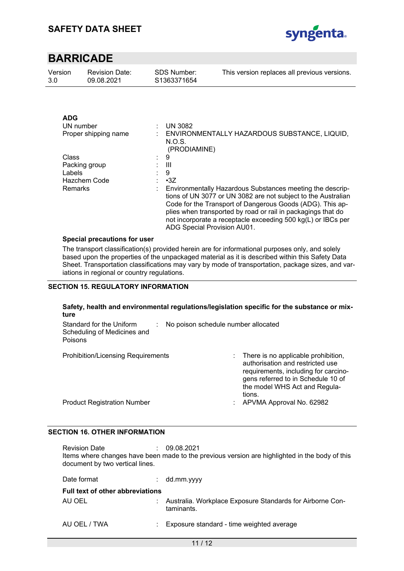

| Version | <b>Revision Date:</b> | SDS Number: | This version replaces all previous versions. |
|---------|-----------------------|-------------|----------------------------------------------|
| 3.0     | 09.08.2021            | S1363371654 |                                              |
|         |                       |             |                                              |

| <b>ADG</b>           |   |                                                                                                                                                                                                                                                                                                                                                        |
|----------------------|---|--------------------------------------------------------------------------------------------------------------------------------------------------------------------------------------------------------------------------------------------------------------------------------------------------------------------------------------------------------|
| UN number            | ٠ | <b>UN 3082</b>                                                                                                                                                                                                                                                                                                                                         |
| Proper shipping name |   | ENVIRONMENTALLY HAZARDOUS SUBSTANCE, LIQUID,<br>N.O.S.<br>(PRODIAMINE)                                                                                                                                                                                                                                                                                 |
| Class                |   | 9                                                                                                                                                                                                                                                                                                                                                      |
| Packing group        |   | Ш                                                                                                                                                                                                                                                                                                                                                      |
| Labels               |   | 9                                                                                                                                                                                                                                                                                                                                                      |
| Hazchem Code         |   | $\cdot 3Z$                                                                                                                                                                                                                                                                                                                                             |
| Remarks              |   | Environmentally Hazardous Substances meeting the descrip-<br>tions of UN 3077 or UN 3082 are not subject to the Australian<br>Code for the Transport of Dangerous Goods (ADG). This ap-<br>plies when transported by road or rail in packagings that do<br>not incorporate a receptacle exceeding 500 kg(L) or IBCs per<br>ADG Special Provision AU01. |

#### **Special precautions for user**

The transport classification(s) provided herein are for informational purposes only, and solely based upon the properties of the unpackaged material as it is described within this Safety Data Sheet. Transportation classifications may vary by mode of transportation, package sizes, and variations in regional or country regulations.

## **SECTION 15. REGULATORY INFORMATION**

## **Safety, health and environmental regulations/legislation specific for the substance or mixture**

| Standard for the Uniform<br>Scheduling of Medicines and<br><b>Poisons</b> | No poison schedule number allocated |                                                                                                                                                                                                    |
|---------------------------------------------------------------------------|-------------------------------------|----------------------------------------------------------------------------------------------------------------------------------------------------------------------------------------------------|
| <b>Prohibition/Licensing Requirements</b>                                 |                                     | : There is no applicable prohibition,<br>authorisation and restricted use<br>requirements, including for carcino-<br>gens referred to in Schedule 10 of<br>the model WHS Act and Regula-<br>tions. |
| <b>Product Registration Number</b>                                        | ÷                                   | APVMA Approval No. 62982                                                                                                                                                                           |

## **SECTION 16. OTHER INFORMATION**

Revision Date : 09.08.2021 Items where changes have been made to the previous version are highlighted in the body of this document by two vertical lines.

| Date format                             |  | $:$ dd.mm.yyyy                                                            |  |
|-----------------------------------------|--|---------------------------------------------------------------------------|--|
| <b>Full text of other abbreviations</b> |  |                                                                           |  |
| AU OEL                                  |  | : Australia. Workplace Exposure Standards for Airborne Con-<br>taminants. |  |
| AU OEL / TWA                            |  | : Exposure standard - time weighted average                               |  |